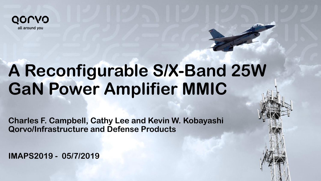

# **A Reconfigurable S/X-Band 25W GaN Power Amplifier MMIC**

**Confidential & Proprietary Information 1** 

**Charles F. Campbell, Cathy Lee and Kevin W. Kobayashi Qorvo/Infrastructure and Defense Products**

**IMAPS2019 - 05/7/2019**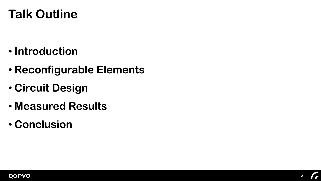## **Talk Outline**

- **Introduction**
- **Reconfigurable Elements**
- **Circuit Design**
- **Measured Results**
- **Conclusion**

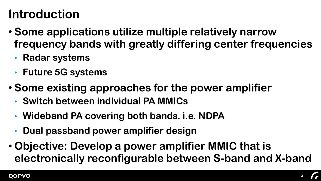# **Introduction**

- **Some applications utilize multiple relatively narrow frequency bands with greatly differing center frequencies**
	- **Radar systems**
	- **Future 5G systems**
- **Some existing approaches for the power amplifier**
	- **Switch between individual PA MMICs**
	- **Wideband PA covering both bands. i.e. NDPA**
	- **Dual passband power amplifier design**
- **Objective: Develop a power amplifier MMIC that is electronically reconfigurable between S-band and X-band**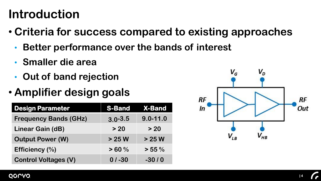#### **Introduction**

- **Criteria for success compared to existing approaches**
	- **Better performance over the bands of interest**
	- **Smaller die area**
	- **Out of band rejection**
- **Amplifier design goals**

| <b>Design Parameter</b>      | <b>S-Band</b> | <b>X-Band</b> |
|------------------------------|---------------|---------------|
| <b>Frequency Bands (GHz)</b> | $3.0 - 3.5$   | $9.0 - 11.0$  |
| <b>Linear Gain (dB)</b>      | > 20          | > 20          |
| <b>Output Power (W)</b>      | $>25$ W       | $>25$ W       |
| Efficiency (%)               | > 60%         | $> 55 \%$     |
| <b>Control Voltages (V)</b>  | $0/ -30$      | $-30/0$       |

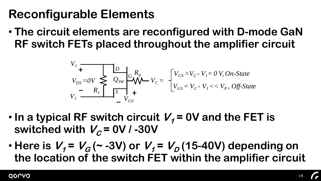• **The circuit elements are reconfigured with D-mode GaN RF switch FETs placed throughout the amplifier circuit**

$$
V_I + V_{DS} = OV \n\begin{cases} \n\frac{D}{2_{SW}} \n\end{cases} \n\begin{cases} \nR_g \\ \n\sqrt{V_{CS}} \n\end{cases} \nV_C = \n\begin{cases} \nV_{GS} = V_C - V_I = 0 \text{ V, On-State} \\ \nV_{GS} = V_C - V_I < < V_P, \text{ Off-State} \\ \nV_{GS} = V_C - V_I < < V_P, \text{ Off-State} \n\end{cases}
$$

- In a typical RF switch circuit  $V<sub>1</sub>$  = 0V and the FET is switched with  $V_c = 0V / -30V$
- $\cdot$  **Here is**  $V_1 = V_G(-3V)$  **or**  $V_1 = V_D(15-40V)$  **depending on the location of the switch FET within the amplifier circuit**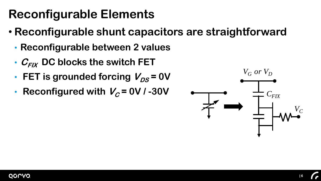- **Reconfigurable shunt capacitors are straightforward**
	- **Reconfigurable between 2 values**
	- $C_{FIX}$  DC blocks the switch FET
	- **FET** is grounded forcing  $V_{DS} = 0V$
	- **Reconfigured with**  $V_c = 0V/430V$

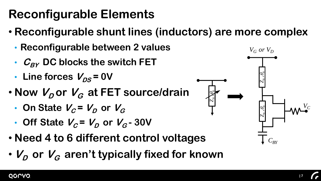- **Reconfigurable shunt lines (inductors) are more complex**
	- **Reconfigurable between 2 values**
	- $C_{BY}$  DC blocks the switch FET
	- Line forces  $V_{DS}$  = 0V
- $\cdot$  **Now**  $V_{D}$  **or**  $V_{G}$  **at FET source/drain** 
	- On State  $V_c = V_p$  or  $V_c$
	- Off State  $V_c = V_D$  or  $V_G$  30V
- **Need 4 to 6 different control voltages**
- 

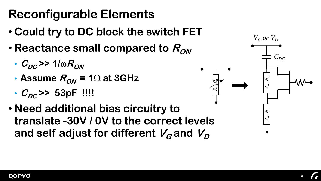- **Could try to DC block the switch FET**
- $\cdot$  **Reactance small compared to**  $R_{ON}$ 
	- $\cdot$  C<sub>DC</sub> >> 1/ $\omega R_{ON}$
	- **Assume**  $R_{ON}$  = 1 $\Omega$  at 3GHz
	- $C_{DC}$  >> 53pF !!!!
- **Need additional bias circuitry to translate -30V / 0V to the correct levels**  and self adjust for different  $V_G$  and  $V_D$

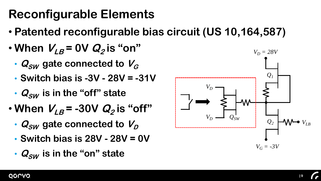- **Patented reconfigurable bias circuit (US 10,164,587)**
- $\cdot$  When  $V_{LB}$  = 0V  $Q_2$  is "on"
	- $Q_{SW}$  gate connected to  $V_G$
	- **Switch bias is -3V - 28V = -31V**
	- $Q_{SW}$  is in the "off" state
- $\cdot$  When  $V_{LB}$  = -30V  $Q_2$  is "off"
	- $Q_{SW}$  gate connected to  $V_D$
	- **Switch bias is 28V - 28V = 0V**
	- $Q_{SW}$  is in the "on" state

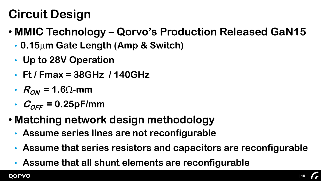# **Circuit Design**

- **MMIC Technology – Qorvo's Production Released GaN15**
	- **0.15**m**m Gate Length (Amp & Switch)**
	- **Up to 28V Operation**
	- **Ft / Fmax = 38GHz / 140GHz**
	- $R_{ON}$  = 1.6 $\Omega$ -mm
	- $C_{OFF}$  = 0.25pF/mm
- **Matching network design methodology**
	- **Assume series lines are not reconfigurable**
	- **Assume that series resistors and capacitors are reconfigurable**
	- **Assume that all shunt elements are reconfigurable**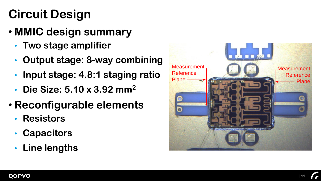# **Circuit Design**

- **MMIC design summary**
	- **Two stage amplifier**
	- **Output stage: 8-way combining**
	- **Input stage: 4.8:1 staging ratio**
	- **Die Size: 5.10 x 3.92 mm<sup>2</sup>**
- **Reconfigurable elements**
	- **Resistors**
	- **Capacitors**
	- **Line lengths**

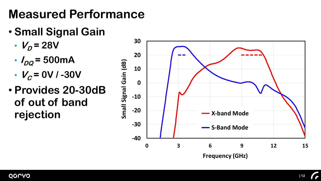- **Small Signal Gain**
	- $V_p = 28V$
	- $I_{DQ}$  = 500 m A
	- $V_c = 0V / -30V$
- **Provides 20-30dB of out of band rejection**

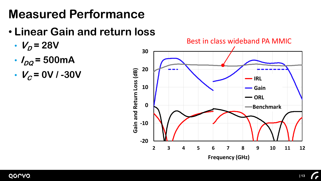- **Linear Gain and return loss**
	- $V_p = 28V$
	- $I_{DQ}$  = 500 mA
	- $V_c = 0V / -30V$

#### **Rectin class widehend BA BABALO** Best in class wideband PA MMIC

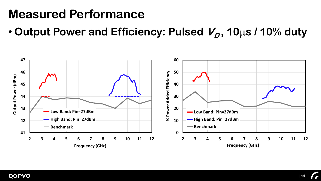• Output Power and Efficiency: Pulsed  $V_D$ , 10µs / 10% duty



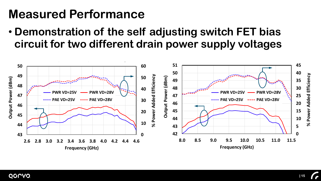• **Demonstration of the self adjusting switch FET bias circuit for two different drain power supply voltages**

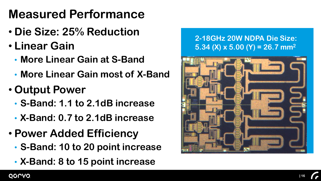- **Die Size: 25% Reduction**
- **Linear Gain**
	- **More Linear Gain at S-Band**
	- **More Linear Gain most of X-Band**
- **Output Power**
	- **S-Band: 1.1 to 2.1dB increase**
	- **X-Band: 0.7 to 2.1dB increase**
- **Power Added Efficiency**
	- **S-Band: 10 to 20 point increase**
	-

# **5.34 (X) x 5.00 (Y) = 26.7 mm<sup>2</sup>**